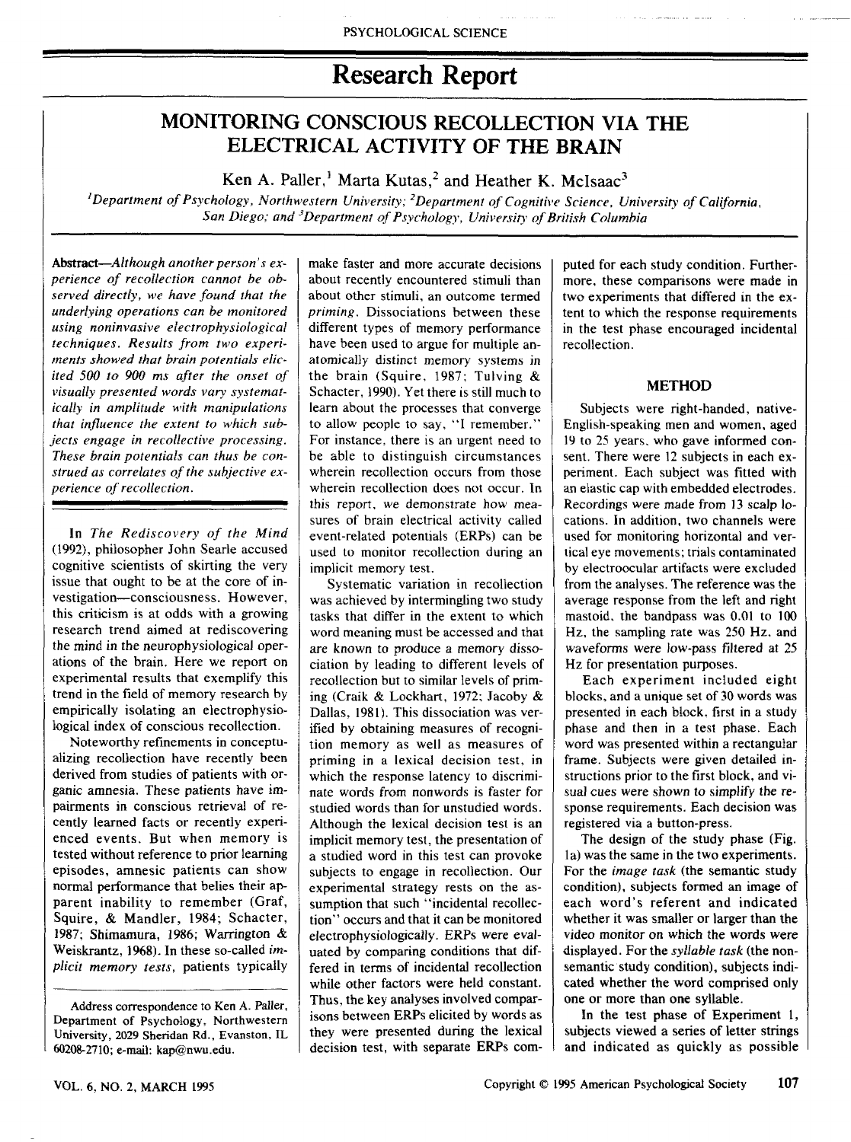# Research Report

## MONITORING CONSCIOUS RECOLLECTION VIA THE ELECTRICAL ACTIVITY OF THE BRAIN

Ken A. Paller,<sup>1</sup> Marta Kutas,<sup>2</sup> and Heather K, McIsaac<sup>3</sup>

*'Department of Psychology, Northwestern University; ^Department of Cognitive Science, University of California, San Diego; and -^Department of Psychology, University of British Columbia*

Abstract-Although another person's ex*perience of recollection cannot be observed directly, we have found that the underlying operations can be monitored using noninvasive electrophysioiogicat techniques. Results from two experiments showed that brain potentials elicited 500 to 900 ms after the onset of visually presented words vary systematically in amplitude with manipulations that influence the extent to which subjects engage in recollective processing. These brain potentials can thus be construed as correlates of the subjective experience of recollection.*

In *The Rediscovery of the Mind* (1992), philosopher John Searle accused cognitive scientists of skirting the very issue that ought to be at the core of investigation—consciousness. However, this criticism is at odds with a growing research trend aimed at rediscovering the mind in the neurophysiological operations of the brain. Here we report on experimental results that exemplify this trend in the field of memory research by empirically isolating an electrophysiological index of conscious recollection.

Noteworthy refinements in conceptualizing recollection have recently been derived from studies of patients with organic amnesia. These patients have impairments in conscious retrieval of recently learned facts or recently experienced events. But when memory is tested without reference to prior learning episodes, amnesic patients can show normal performance that belies their apparent inability to remember (Graf, Squire, & Mandler, 1984; Schacter, 1987; Shimamura, 1986; Warrington & Weiskrantz, 1968). In these so-called *implicit memory tests,* patients typically

Address correspondence to Ken A. Paller, Department of Psychology, Northwestem University, 2029 Sheridan Rd., Evanston, IL 60208-2710; e-mail: kap@nwu.edu.

make faster and more accurate decisions about recently encountered stimuli than about other stimuli, an outcome termed *priming.* Dissociations between these different types of memory performance have been used to argue for multiple anatomically distinct memory systems in the brain (Squire, 1987; Tulving  $\&$ Schacter, !990), Yet there is still much to learn about the processes that converge to allow people to say, "I remember," For instance, there is an urgent need to be able to distinguish circumstances wherein recollection occurs from those wherein recollection does not occur. In this report, we demonstrate how measures of brain electrical activity called event-related potentials (ERPs) can be used to monitor recollection during an implicit memory test.

Systematic variation in recollection was achieved by intermingling two study tasks that differ in the extent to which word meaning must be accessed and that are known to produce a memory dissociation by leading to different levels of recollection but to similar levels of priming (Craik & Lockhart, 1972; Jacoby & Dallas, 1981), This dissociation was verified by obtaining measures of recognition memory as well as measures of priming in a lexical decision test, in which the response latency to discriminate words from nonwords is faster for studied words than for unstudied words. Although the lexical decision test is an implicit memory test, the presentation of a studied word in this test can provoke subjects to engage in recollection. Our experimental strategy rests on the assumption that such "incidental recollection" occurs and that it can be monitored electrophysiologicaily. ERPs were evaluated by comparing conditions that differed in terms of incidental recollection while other factors were held constant. Thus, the key analyses involved comparisons between ERPs elicited by words as they were presented during the lexical decision test, with separate ERPs com-

puted for each study condition. Furthermore, these comparisons were made in two experiments that differed in the extent to which the response requirements in the test phase encouraged incidental recollection.

## **METHOD**

Subjects were right-handed, native-English-speaking men and women, aged 19 to 25 years, who gave informed consent. There were 12 subjects in each experiment. Each subject was fitted with an elastic cap with embedded electrodes. Recordings were made from 13 scalp locations. In addition, two channels were used for monitoring horizontal and vertical eye movements; trials contaminated by electroocular artifacts were excluded from tbe analyses. The reference was the average response from the left and right mastoid, the bandpass was 0.01 to 100 Hz, the sampling rate was 250 Hz, and waveforms were low-pass filtered at 25 Hz for presentation purposes.

Each experiment included eight blocks, and a unique set of 30 words was presented in each block, first in a study phase and then in a test phase. Each word was presented within a rectangular frame. Subjects were given detailed instructions prior to the first block, and visual cues were shown to simplify the response requirements. Each decision was registered via a button-press.

The design of the study phase (Fig, la) was the same in the two experiments. For the *image task* (the semantic study condition), subjects fonned an image of each word's referent and indicated whether it was smaller or larger than the video monitor on which the words were displayed. For the *syllable task* (tbe nonsemantic study condition), subjects indicated whether the word comprised only one or more than one syllable.

In the test phase of Experiment 1, subjects viewed a series of letter strings and indicated as quickly as possible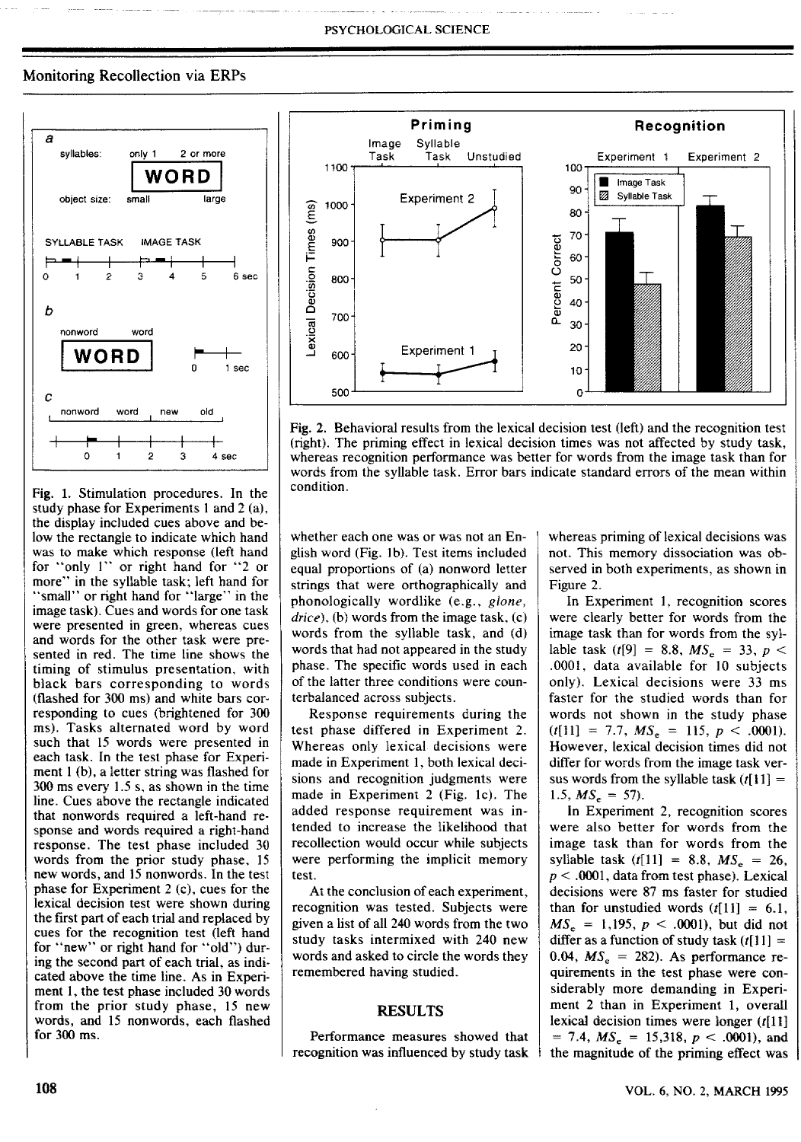## Monitoring Recollection via ERPs



Fig, 1, Stimulation procedures. In the study phase for Experiments 1 and 2 (a), the display included cues above and below the rectangle to indicate which hand was to make which response (left hand for "only 1" or right hand for "2 or more" in the syllable task; left hand for "small" or right hand for "large" in the image task). Cues and words for one task were presented in green, whereas cues and words for the otber task were presented in red. The time line shows the timing of stimulus presentation, with black bars corresponding to words (flashed for 300 ms) and white bars corresponding to cues (brightened for 300 ms). Tasks alternated word by word such that 15 words were presented in each task. In the test phase for Experiment 1 (b), a letter string was flashed for  $300$  ms every  $1.5$  s, as shown in the time line. Cues above the rectangle indicated that nonwords required a left-hand response and words required a right-hand sponse and words required a right-nandresponse. The test phase included 50<br>words from the prior study phase, 15 words from the prior study phase, 15 new words, and 15 nonwords. In the test<br>rhase for Europins at  $2(r)$ , cues for the phase for Experiment  $2$  (c), cues for the lexical decision test were shown during the first part of each trial and replaced by cues for the recognition test (left hand for "new" or right hand for "old") during the second part of each trial, as indicated above the time line. As in Experiment 1, the test phase included 30 words from the prior study phase, 15 new words, and 15 nonwords, each flashed<br>for 300 ms.



Fig, 2, Behavioral results from the lexical decision test (left) and the recognition test (right). The priming effect in lexical decision times was not affected by study task, whereas recognition performance was better for words from the image task than for words from the syllable task. Error bars indicate standard errors of the mean within condition.

whether each one was or was not an English word (Fig, Ib). Test items included equal proportions of (a) nonword letter strings that were orthographically and phonologically wordlike (e.g., *gione, drice),* (b) words from the image task, (c) words from the syllable task, and (d) words that had not appeared in the study phase. The specific words used in each of the latter three conditions were counterbalanced across subjects.

Response requirements during the test phase differed in Experiment 2. Whereas only lexical decisions were made in Experiment 1, both lexical decisions and recognition judgments were made in Experiment 2 (Fig. Ic), The added response requirement was intended to increase the likelihood that recollection would occur while subjects were performing the implicit memory test.

At the conclusion of each experiment, recognition was tested. Subjects were given a list of all 240 words from the two study tasks intermixed with 240 new words and asked to circle the words they remembered having studied.

## RESULTS

Performance measures showed that recognition was influenced by study task whereas priming of lexical decisions was not. This memory dissociation was observed in both experiments, as shown in Figure 2.

In Experiment 1, recognition scores were clearly better for words from the image task than for words from the syllable task ( $t[9] = 8.8$ ,  $MS<sub>e</sub> = 33$ ,  $p <$ ,0001, data available for 10 subjects only). Lexical decisions were 33 ms faster for the studied words than for words not shown in the study phase  $(t[11] = 7.7, MS_e = 115, p < .0001$ . However, lexical decision times did not differ for words from the image task versus words from the syllable task  $(t[1]$  = 1.5,  $MS_e = 57$ .

In Experiment 2, recognition scores were also better for words from the image task tban for words from the syllable task  $(f[11] = 8.8, MS<sub>e</sub> = 26,$ *p <* ,0001, data from test phase). Lexical decisions were 87 ms faster for studied than for unstudied words  $(t[11] = 6,1,$  $MS_e = 1,195, p < .0001$ , but did not differ as a function of study task  $(t[11] =$ 0.04,  $MS<sub>e</sub> = 282$ ). As performance requirements in the test phase were considerably more demanding in Experiment 2 than in Experiment 1, overall lexical decision times were longer  $(t[11]$  $= 7.4, MS_e = 15,318, p < .0001$ , and the magnitude of the priming effect was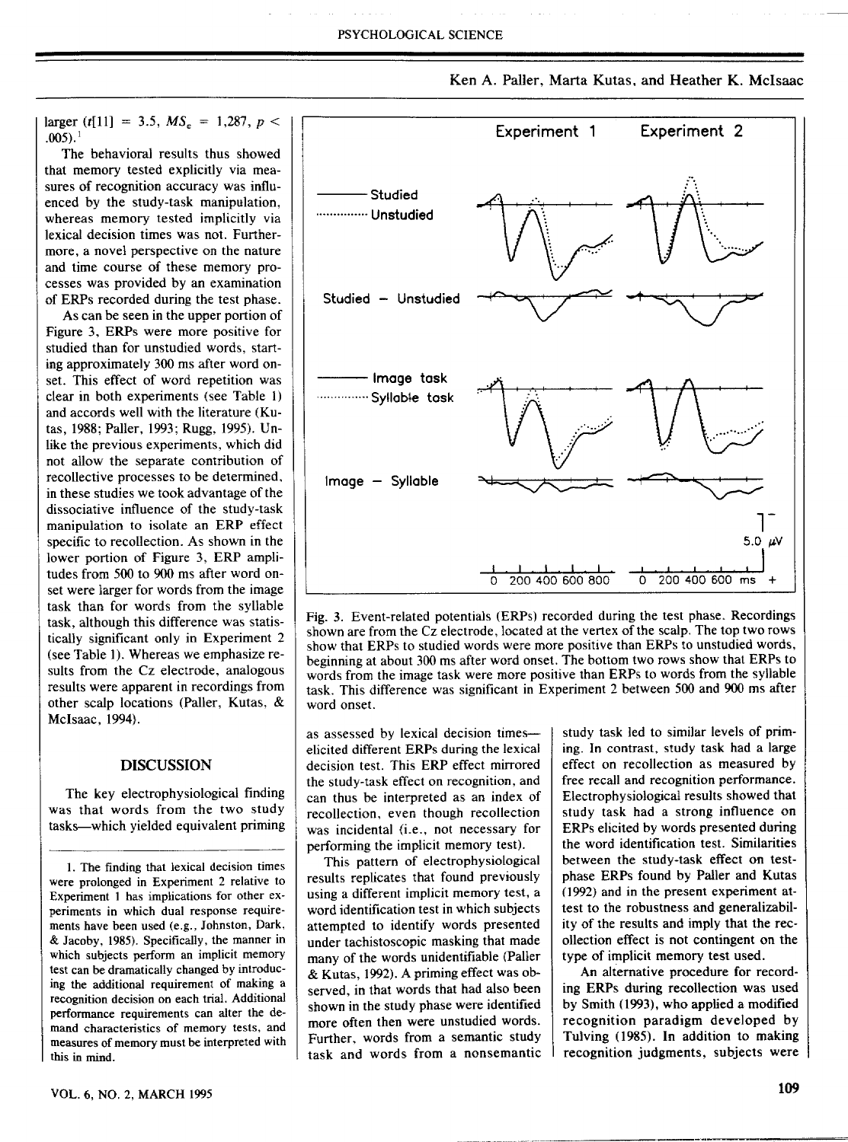Ken A, Palier, Marta Kutas, and Heather K, Mclsaac

 $\text{larger } (t[11] = 3.5, MS_s = 1,287, p <$  $,005$ ), $^{1}$ 

The behavioral results thus showed that memory tested explicitly via measures of recognition accuracy was influenced by the study-task manipulation, whereas memory tested implicitly via lexical decision times was not. Furthermore, a novel perspective on the nature and time course of these memory processes was provided by an examination of ERPs recorded during the test phase.

As can be seen in the upper portion of Figure 3, ERPs were more positive for studied tban for unstudied words, starting approximately 300 ms after word onset. This effect of word repetition was clear in both experiments (see Table 1) and accords well with the literature (Kutas, 1988; Paller, 1993; Rugg, 1995), Unlike the previous experiments, which did not allow the separate contribution of recollective processes to be determined, in these studies we took advantage of the dissociative influence of the study-task manipulation to isolate an ERP effect specific to recollection. As shown in the lower portion of Figure 3, ERP amplitudes from 500 to 900 ms after word onset were larger for words from the image task than for words from the syllable task, although this difference was statistically significant only in Experiment 2 (see Table 1). Wbereas we emphasize results from the Cz electrode, analogous results were apparent in recordings from other scalp locations (Paller, Kutas, & Mclsaac, 1994),

#### DISCUSSION

The key electrophysiological finding was that words from the two study tasks—which yielded equivalent priming



Fig, 3. Event-related potentials (ERPs) recorded during the test phase. Recordings shown are from the Cz electrode, located at the vertex of the scalp. The top two rows show tbat ERPs to studied words were more positive than ERPs to unstudied words, beginning at about 300 ms after word onset. The bottom two rows show that ERPs to words from the image task were more positive than ERPs to words from the syllable task. This difference was significant in Experiment 2 between 500 and 900 ms after word onset.

as assessed by lexical decision times elicited different ERPs during the lexical decision test. This ERP effect mirrored the study-task effect on recognition, and can thus be interpreted as an index of recollection, even though recollection was incidental (i.e., not necessary for performing the implicit memory test).

This pattern of electropbysiological results replicates that found previously using a different implicit memory test, a word identification test in which subjects attempted to identify words presented under tachistoscopic masking that made many of the words unidentifiable (Paller & Kutas, 1992), A priming effect was observed, in that words that had also been shown in tbe study phase were identified more often then were unstudied words. Further, words from a semantic study task and words from a nonsemantic study task led to similar levels of priming. In contrast, study task had a large effect on recollection as measured by free recall and recognition performance, Electrophysiologica! results showed that study task had a strong influence on ERPs elicited by words presented during the word identification test. Similarities between the study-task effect on testphase ERPs found by Paller and Kutas (1992) and in the present experiment attest to the robustness and generalizability of the results and imply that the recollection effect is not contingent on the type of implicit memory test used.

An alternative procedure for recording ERPs during recollection was used by Smith (1993), who applied a modified recognition paradigm developed by Tulving (1985), In addition to making recognition judgments, subjects were

<sup>1,</sup> The finding that lexical decision times were prolonged in Experiment 2 relative to Experiment 1 has implications for other experiments in which dual response requirements have been used (e.g., Johnston, Dark, & Jacoby, 1985). Specifically, the manner in which subjects perform an implicit memory test can be dramatically changed by introducing the additional requirement of making a recognition decision on each trial. Additional perfonnance requirements can alter the demand characteristics of memory tests, and measures of memory must be interpreted with this in mind.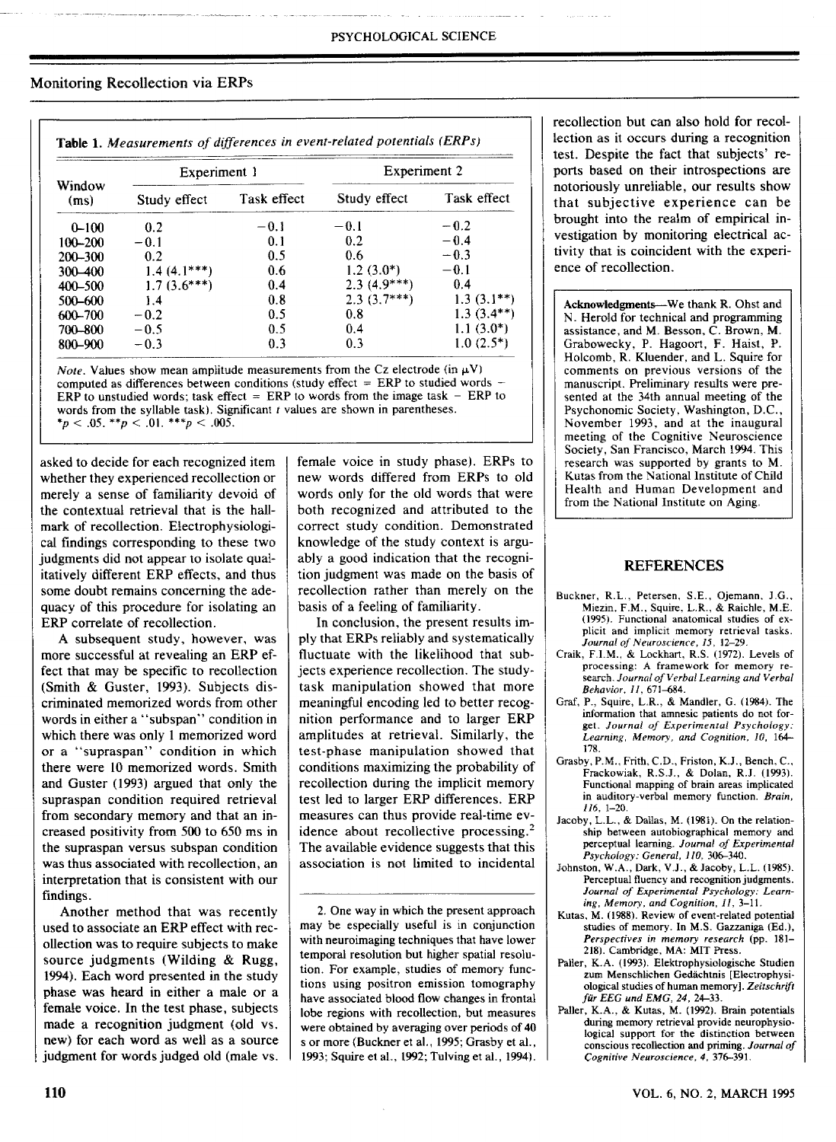### Monitoring Recollection via ERPs

| Window<br>(ms) | Experiment 1  |             | Experiment 2  |              |
|----------------|---------------|-------------|---------------|--------------|
|                | Study effect  | Task effect | Study effect  | Task effect  |
| $0 - 100$      | 0.2           | $-0.1$      | $-0.1$        | $-0.2$       |
| 100-200        | $-0.1$        | 0.1         | 0.2           | $-0.4$       |
| 200-300        | 0.2           | 0.5         | 0.6           | $-0.3$       |
| $300 - 400$    | $1.4(4.1***)$ | 0.6         | $1.2(3.0*)$   | $-0.1$       |
| $400 - 500$    | $1.7(3.6***)$ | 0.4         | $2.3(4.9***)$ | 0.4          |
| 500-600        | 1.4           | 0.8         | $2.3(3.7***)$ | $1.3(3.1**)$ |
| 600-700        | $-0.2$        | 0.5         | 0.8           | $1.3(3.4**)$ |
| 700-800        | $-0.5$        | 0.5         | 0.4           | $1.1(3.0*)$  |
| 800-900        | $-0.3$        | 0.3         | 0.3           | $1.0(2.5^*)$ |

*Note.* Values show mean amplitude measurements from the Cz electrode (in  $\mu$ V) computed as differences between conditions (study effect  $=$  ERP to studied words ERP to unstudied words; task effect  $=$  ERP to words from the image task  $-$  ERP to words from the syllable task). Significant *t* values are shown in parentheses.  $*_p$  < .05.  $*_p$  < .01.  $**_p$  < .005.

asked to decide for each recognized item whether they experienced recollection or merely a sense of familiarity devoid of the contextual retrieval that is the hallmark of recollection. Electrophysiological fmdings corresponding to tbese two judgments did not appear to isolate qualitatively different ERP effects, and thus some doubt remains concerning the adequacy of this procedure for isolating an ERP correlate of recollection.

A subsequent study, however, was more successful at revealing an ERP effect that may be specific to recollection (Smith & Guster, 1993). Subjects discriminated memorized words from other words in either a "subspan" condition in wbich there was only 1 memorized word or a "supraspan" condition in which there were 10 memorized words. Smith and Guster (1993) argued that only tbe supraspan condition required retrieval from secondary memory and that an increased positivity from 500 to 650 ms in the supraspan versus subspan condition was thus associated with recollection, an interpretation that is consistent witb our findings.

Another method that was recently used to associate an ERP effect with recollection was to require subjects to make source judgments (Wilding & Rugg, 1994), Each word presented in the study phase was heard in either a male or a female voice. In the test phase, subjects made a recognition judgment (old vs, new) for each word as weil as a source judgment for words judged old (male vs. female voice in study phase), ERPs to new words differed from ERPs to old words only for the old words that were both recognized and attributed to the correct study condition. Demonstrated knowledge of the study context is arguably a good indication that the recognition judgment was made on the basis of recollection rather than merely on the basis of a feeling of familiarity.

In conclusion, the present results imply that ERPs reliably and systematically fluctuate with the likelihood that subjects experience recollection. The studytask manipulation showed that more meaningful encoding led to better recognition performance and to larger ERP amplitudes at retrieval. Similarly, tbe test-phase manipulation showed that conditions maximizing the probability of recollection during the implicit memory test led to larger ERP differences. ERP measures can thus provide real-time evidence about recollective processing.<sup>2</sup> The available evidence suggests that this association is not limited to incidental

2. One way in wbich the present approach may be especially useful is in conjunction with neuroimaging techniques that have lower temporal resolution but higher spatial resolution. For example, studies of memory functions using positron emission tomography have associated blood flow changes in frontal lobe regions with recollection, but measures were obtained by averaging over periods of 40 s or more (Buckner et al., 1995; Grasby et al., 1993; Squire et al., 1992; Tulving et al., 1994).

recollection but can also bold for recollection as it occurs during a recognition test. Despite tbe fact that subjects' reports based on their introspections are notoriously unreliable, our results show that subjective experience can be brought into the realm of empirical investigation by monitoring electrical activity tbat is coincident with the experience of recollection.

**Acknowledgments—**We thank **R.** Ohst and N. Herold for technical and programming assistance, and M. Besson, C, Brown, M. Grabowecky, P. Hagoort, F. Haist, P. Holcomb, R. Kluender, and L. Squire for comments on previous versions of tbe manuscript. Preliminary results were presented at the 34th annual meeting of the Psychonomic Society, Wasbington, D.C, November 1993, and at the inaugural meeting of tbe Cognitive Neuroscience Society, San Francisco, March 1994. This research was supported by grants to M. Kutas from the National Institute of Child Health and Human Development and from the National Institute on Aging.

#### REFERENCES

- Buckner, R.L , Petersen, S.E., Ojemann, J.G., Miezin, F.M., Squire, L.R., & Raichle, M.E. (1995). Functional anatomical studies of explicit and implicit memory retrieval tasks. *Journal of Neuroscience, 15,* 12-29.
- Craik, F.LM., & Lockhart, R.S. (1972), Levels of processing: A framework for memory research. *Journal of Verbal Learning and Verbal Behavior, II,* 671-684.
- Graf, P., Squire, L.R., & Mandler, G. (1984). The information that amnesic patients do not forget. *Journal of Experimental Psychology: Learning, Memory, and Cognition, 10,* 164— 178.
- Grasby, P.M., Frith, C.D., Friston, K.J., Bench, C., Frackowiak, R,S.J., & Dolan, R.J. (1993). Functional mapping of brain areas implicated in auditory-verbal memory function. *Brain, 116,* 1-20.
- Jacoby, L.L., & Dallas, M. (1981). On the relationship between autobiographical memory and perceptual learning. *Journal of Experimental Psychology: General, 110,* 306-340.
- Johnston, W.A., Dark, V.J., & Jacoby, L.L. (1985). Perceptual fluency and recognition judgments. *Journal of Experimental Psychology: Learning, Memory, and Cognition, II,* 3-11.
- Kutas, M, (1988). Review of event-related potential studies of memory. In M.S. Gazzaniga (Ed.), *Perspectives in memory research* (pp. 181- 218). Cambridge, MA: MIT Press.
- Paller, K.A. (1993). Elektrophysiologische Studien zum Menschlichen Gedächtnis [Electrophysiological studies of human memory]. *Zeitschrift fur EEG und EMG, 24.* 24-33.
- Paller, K.A., & Kutas, M. (1992). Brain potentials during memory retrieval provide neurophysiological support for the distinction between conscious recollection and priming. *Journal of Cognitive Neuroscience, 4,* 376-391.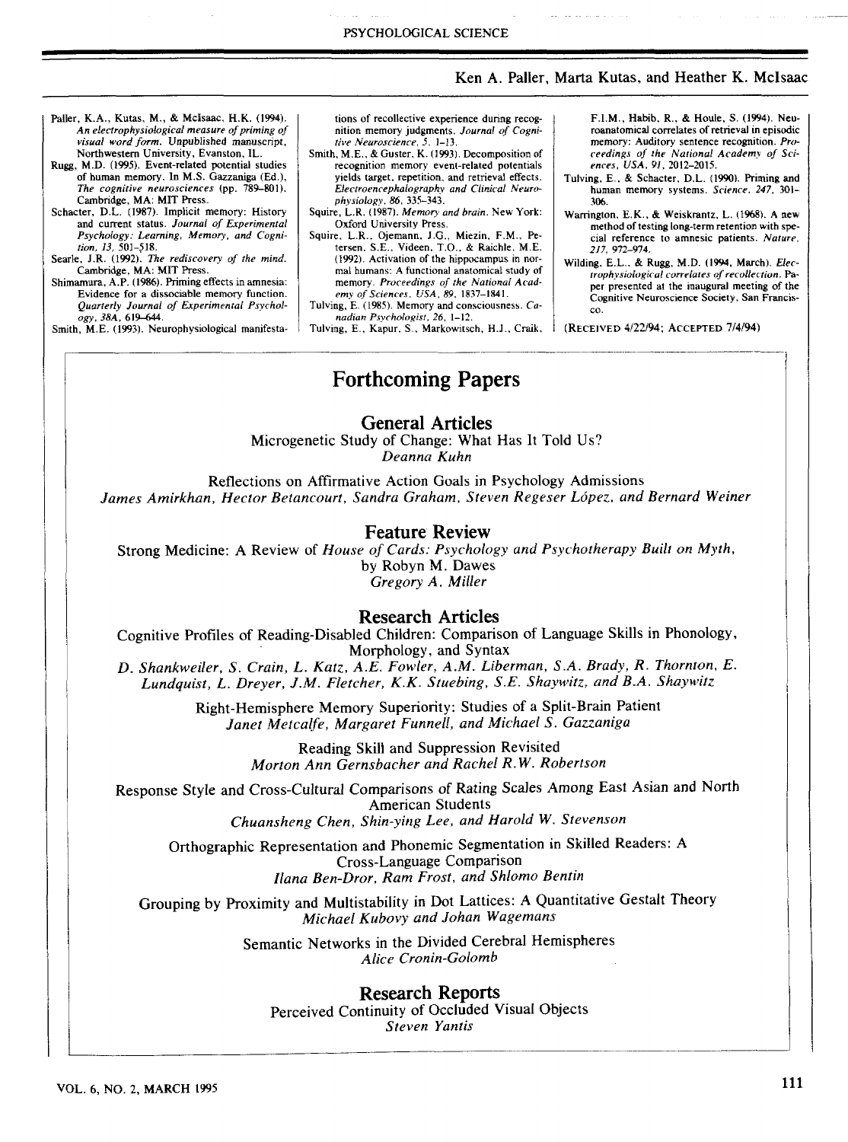VOL. 6, NO, *2,* MARCH 1995

Ken A. Paller, Marta Kutas, and Heather K. Mclsaac

306,

co.

*217,* 972-974,

*ences. USA, 91,* 2012-2015, Tulving, E., *&* Schacter, D,L. (1990), Priming and human memory systems. *Science, 247,* 301-

F,LM., Habib, R., & Houle, S. (1994). Neuroanatomical correlates of retrieval in episodic memory: Auditory sentence recognition. *Proceedings of the National Academv of Sci-*

Warrington, E,K,. *&* Weiskrantz, L, (1968), A new method of testing long-term retention with special reference to amnesic patients. *Nature,*

Wilding, E,L., *&* Rugg, M,D, (1994, March). *Electrophysiological correlates of recollection.* Paper presented at the inaugural meeting of the Cognitive Neuroscience Society, San Francis-

- Paller, K.A,, Kutas, M,, & Mcisaac, H,K, (1994). *An electrophysiological measure of priming of visual word form.* Unpublished manuscript. Northwestern University, Evanston, IL,
- Rugg, M.D, (1995), Event-related potential studies of human memory. In M,S. Gazzaniga (Ed), *The cognitive neurosciences* (pp, 789-801),
- Cambridge, MA: MIT Press, Schacter, D,L. (1987). Implicit memory: History and current status. *Journal of Experimental Psychology: Learning, Memory, and Cognition, 13,* 501-518,
- Searle, J,R, (1992), *The rediscovery of the mind.* Cambridge, MA: MIT Press.
- Shimamura, A,P, (1986), Priming effects in amnesia: Evidence for a dissociable memory function. *Quarterly Journal of Experimental Psychology, 38A.* 619-644.

Smith, M,E, (1993), Neurophysiological manifesta-

tions of recollective experience during recognition memory judgments. *Journal of Cognitive Neuroscience, 5.* 1-33.

PSYCHOLOGICAL SCIENCE

- Smith, M,E,, *&* Guster, K, (1993). Decomposition of recognition memory event-related potentials yields target, repetition, and retrieval effects. *Electroencephalography and Clinical Neurophysiology, 86,* 33.'i-343,
- Squire, L,R, (1987), *Memory and brain.* New York: Oxford University Press,
- Squire, L.R,. Ojemann, J,G,, Miezin, F,M., Petersen, S,E., Videen. T.O,, & Raichle, ME. (1992). Activation of the hippocampus in normal humans: A functional anatomical study of memory. *Proceedings of the National Academy of Sciences. USA, 89.* 1837-1841,
- Tulving, E. (1985). Memory and consciousness, *Canadian Psychologist, 26,* 1-12,
- Tulving, E., Kapur, S., Markowitsch, H,J., Craik, (RECEIVED 4/22/94; ACCEPTED 7/4/94)

## Forthcoming Papers

## General Articles

Microgenetic Study of Change: What Has It Told Us? *Deanna Kuhn*

Reflections on Affirmative Action Goals in Psychology Admissions *James Amirkhan, Hector Betancourt, Sandra Graham, Steven Regeser Lopez, and Bernard Weiner*

## Feature Review

Strong Medicine: A Review of *House of Cards: Psychology and Psychotherapy Built on Myth,* by Robyn M. Dawes *Gregory A. Miller*

## Research Articles

Cognitive Profiles of Reading-Disabled Children: Comparison of Language Skills in Phonology, Morphology, and Syntax

*D. Shankweiler, S. Crain, L. Katz, A.E. Fowler, A.M. Liberman, S.A. Brady, R. Thornton, E. Lundquist, L. Dreyer, J-M. Fletcher, K.K. Stuebing, S.E. Shaywitz, and B.A. Shaywitz*

> Right-Hemisphere Memory Superiority: Studies of a Split-Brain Patient *Janet Metcalfe, Margaret Funnell, and Michael S. Gazzaniga*

> > Reading Skill and Suppression Revisited *Morton Ann Gernsbacher and Rachel R.W. Robertson*

Response Style and Cross-Cultural Comparisons of Rating Scales Among East Asian and North American Students

*Chuansheng Chen, Shin-ying Lee, and Harold W. Stevenson*

Orthographic Representation and Phonemic Segmentation in Skilled Readers: A Cross-Language Comparison *liana Ben-Dror, Ram Frost, and Shlomo Bentin*

Grouping by Proximity and Multistability in Dot Lattices: A Quantitative Gestalt Theory *Michael Kubovy and Johan Wagemans*

> Semantic Networks in the Divided Cerebral Hemispheres *Alice Cronin-Golomb*

## Research Reports

Perceived Continuity of Occluded Visual Objects *Steven Yantis*